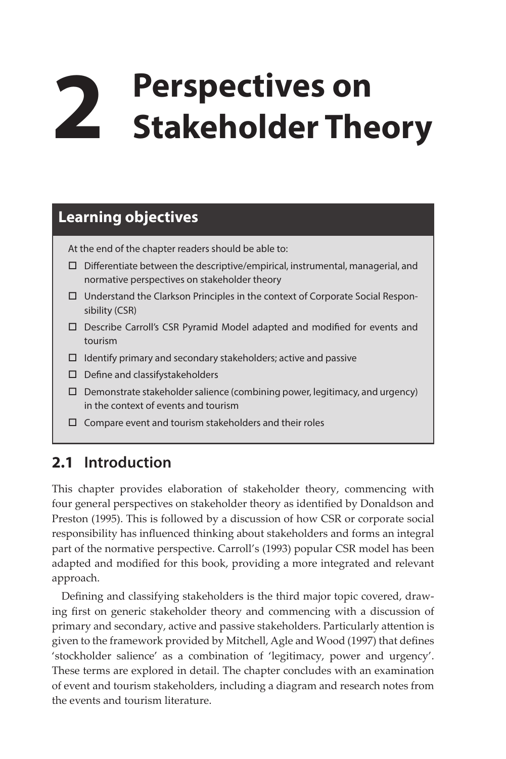# **2 Perspectives on Stakeholder Theory**

## **Learning objectives**

At the end of the chapter readers should be able to:

- $\square$  Differentiate between the descriptive/empirical, instrumental, managerial, and normative perspectives on stakeholder theory
- $\Box$  Understand the Clarkson Principles in the context of Corporate Social Responsibility (CSR)
- Describe Carroll's CSR Pyramid Model adapted and modified for events and tourism
- $\Box$  Identify primary and secondary stakeholders; active and passive
- Define and classifystakeholders
- $\square$  Demonstrate stakeholder salience (combining power, legitimacy, and urgency) in the context of events and tourism
- $\square$  Compare event and tourism stakeholders and their roles

## **2.1 Introduction**

This chapter provides elaboration of stakeholder theory, commencing with four general perspectives on stakeholder theory as identified by Donaldson and Preston (1995). This is followed by a discussion of how CSR or corporate social responsibility has influenced thinking about stakeholders and forms an integral part of the normative perspective. Carroll's (1993) popular CSR model has been adapted and modified for this book, providing a more integrated and relevant approach.

Defining and classifying stakeholders is the third major topic covered, drawing first on generic stakeholder theory and commencing with a discussion of primary and secondary, active and passive stakeholders. Particularly attention is given to the framework provided by Mitchell, Agle and Wood (1997) that defines 'stockholder salience' as a combination of 'legitimacy, power and urgency'. These terms are explored in detail. The chapter concludes with an examination of event and tourism stakeholders, including a diagram and research notes from the events and tourism literature.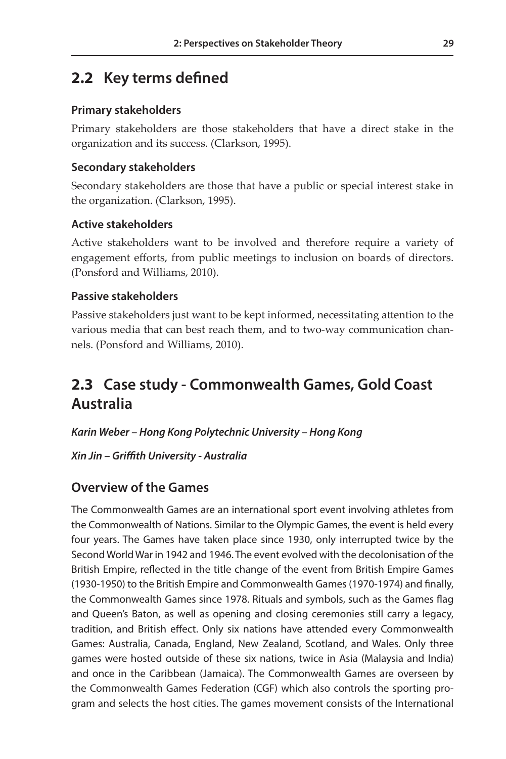## **2.2 Key terms defined**

#### **Primary stakeholders**

Primary stakeholders are those stakeholders that have a direct stake in the organization and its success. (Clarkson, 1995).

#### **Secondary stakeholders**

Secondary stakeholders are those that have a public or special interest stake in the organization. (Clarkson, 1995).

#### **Active stakeholders**

Active stakeholders want to be involved and therefore require a variety of engagement efforts, from public meetings to inclusion on boards of directors. (Ponsford and Williams, 2010).

#### **Passive stakeholders**

Passive stakeholders just want to be kept informed, necessitating attention to the various media that can best reach them, and to two-way communication channels. (Ponsford and Williams, 2010).

## **2.3 Case study - Commonwealth Games, Gold Coast Australia**

*Karin Weber – Hong Kong Polytechnic University – Hong Kong*

*Xin Jin – Griffith University - Australia*

### **Overview of the Games**

The Commonwealth Games are an international sport event involving athletes from the Commonwealth of Nations. Similar to the Olympic Games, the event is held every four years. The Games have taken place since 1930, only interrupted twice by the Second World War in 1942 and 1946. The event evolved with the decolonisation of the British Empire, reflected in the title change of the event from British Empire Games (1930-1950) to the British Empire and Commonwealth Games (1970-1974) and finally, the Commonwealth Games since 1978. Rituals and symbols, such as the Games flag and Queen's Baton, as well as opening and closing ceremonies still carry a legacy, tradition, and British effect. Only six nations have attended every Commonwealth Games: Australia, Canada, England, New Zealand, Scotland, and Wales. Only three games were hosted outside of these six nations, twice in Asia (Malaysia and India) and once in the Caribbean (Jamaica). The Commonwealth Games are overseen by the Commonwealth Games Federation (CGF) which also controls the sporting program and selects the host cities. The games movement consists of the International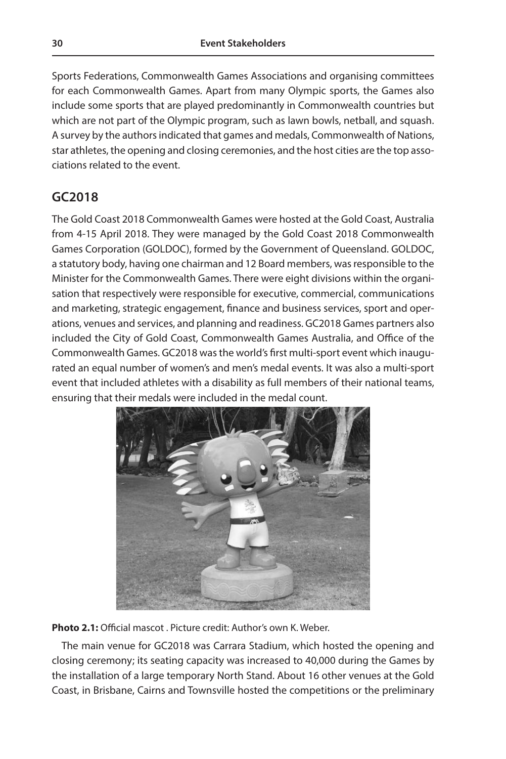Sports Federations, Commonwealth Games Associations and organising committees for each Commonwealth Games. Apart from many Olympic sports, the Games also include some sports that are played predominantly in Commonwealth countries but which are not part of the Olympic program, such as lawn bowls, netball, and squash. A survey by the authors indicated that games and medals, Commonwealth of Nations, star athletes, the opening and closing ceremonies, and the host cities are the top associations related to the event.

#### **GC2018**

The Gold Coast 2018 Commonwealth Games were hosted at the Gold Coast, Australia from 4-15 April 2018. They were managed by the Gold Coast 2018 Commonwealth Games Corporation (GOLDOC), formed by the Government of Queensland. GOLDOC, a statutory body, having one chairman and 12 Board members, was responsible to the Minister for the Commonwealth Games. There were eight divisions within the organisation that respectively were responsible for executive, commercial, communications and marketing, strategic engagement, finance and business services, sport and operations, venues and services, and planning and readiness. GC2018 Games partners also included the City of Gold Coast, Commonwealth Games Australia, and Office of the Commonwealth Games. GC2018 was the world's first multi-sport event which inaugurated an equal number of women's and men's medal events. It was also a multi-sport event that included athletes with a disability as full members of their national teams, ensuring that their medals were included in the medal count.



**Photo 2.1:** Official mascot . Picture credit: Author's own K. Weber.

The main venue for GC2018 was Carrara Stadium, which hosted the opening and closing ceremony; its seating capacity was increased to 40,000 during the Games by the installation of a large temporary North Stand. About 16 other venues at the Gold Coast, in Brisbane, Cairns and Townsville hosted the competitions or the preliminary